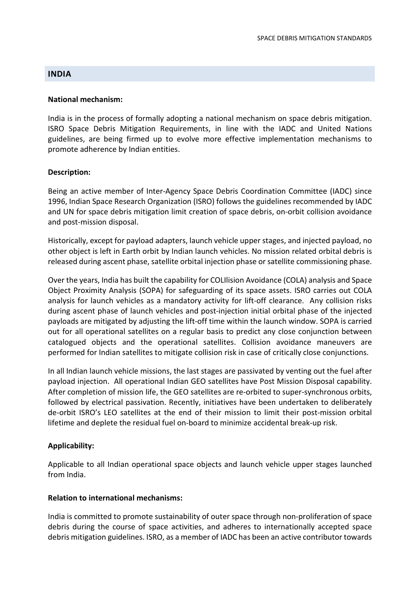## **INDIA**

#### National mechanism:

India is in the process of formally adopting a national mechanism on space debris mitigation. ISRO Space Debris Mitigation Requirements, in line with the IADC and United Nations guidelines, are being firmed up to evolve more effective implementation mechanisms to promote adherence by Indian entities.

### Description:

Being an active member of Inter-Agency Space Debris Coordination Committee (IADC) since 1996, Indian Space Research Organization (ISRO) follows the guidelines recommended by IADC and UN for space debris mitigation limit creation of space debris, on-orbit collision avoidance and post-mission disposal.

Historically, except for payload adapters, launch vehicle upper stages, and injected payload, no other object is left in Earth orbit by Indian launch vehicles. No mission related orbital debris is released during ascent phase, satellite orbital injection phase or satellite commissioning phase.

Over the years, India has built the capability for COLIlision Avoidance (COLA) analysis and Space Object Proximity Analysis (SOPA) for safeguarding of its space assets. ISRO carries out COLA analysis for launch vehicles as a mandatory activity for lift-off clearance. Any collision risks during ascent phase of launch vehicles and post-injection initial orbital phase of the injected payloads are mitigated by adjusting the lift-off time within the launch window. SOPA is carried out for all operational satellites on a regular basis to predict any close conjunction between catalogued objects and the operational satellites. Collision avoidance maneuvers are performed for Indian satellites to mitigate collision risk in case of critically close conjunctions.

In all Indian launch vehicle missions, the last stages are passivated by venting out the fuel after payload injection. All operational Indian GEO satellites have Post Mission Disposal capability. After completion of mission life, the GEO satellites are re-orbited to super-synchronous orbits, followed by electrical passivation. Recently, initiatives have been undertaken to deliberately de-orbit ISRO's LEO satellites at the end of their mission to limit their post-mission orbital lifetime and deplete the residual fuel on-board to minimize accidental break-up risk.

### Applicability:

Applicable to all Indian operational space objects and launch vehicle upper stages launched from India.

#### Relation to international mechanisms:

India is committed to promote sustainability of outer space through non-proliferation of space debris during the course of space activities, and adheres to internationally accepted space debris mitigation guidelines. ISRO, as a member of IADC has been an active contributor towards